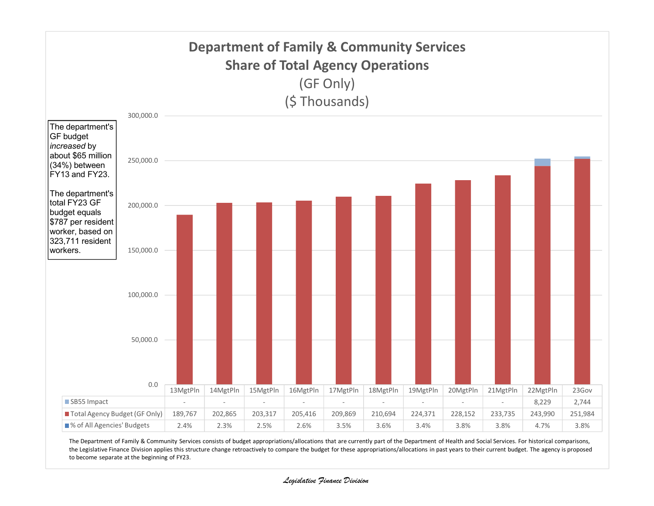

The Department of Family & Community Services consists of budget appropriations/allocations that are currently part of the Department of Health and Social Services. For historical comparisons, the Legislative Finance Division applies this structure change retroactively to compare the budget for these appropriations/allocations in past years to their current budget. The agency is proposed to become separate at the beginning of FY23.

## Legislative Finance Division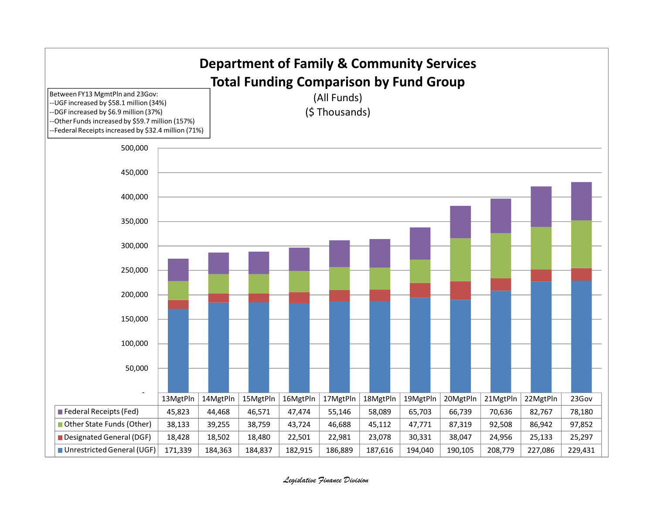